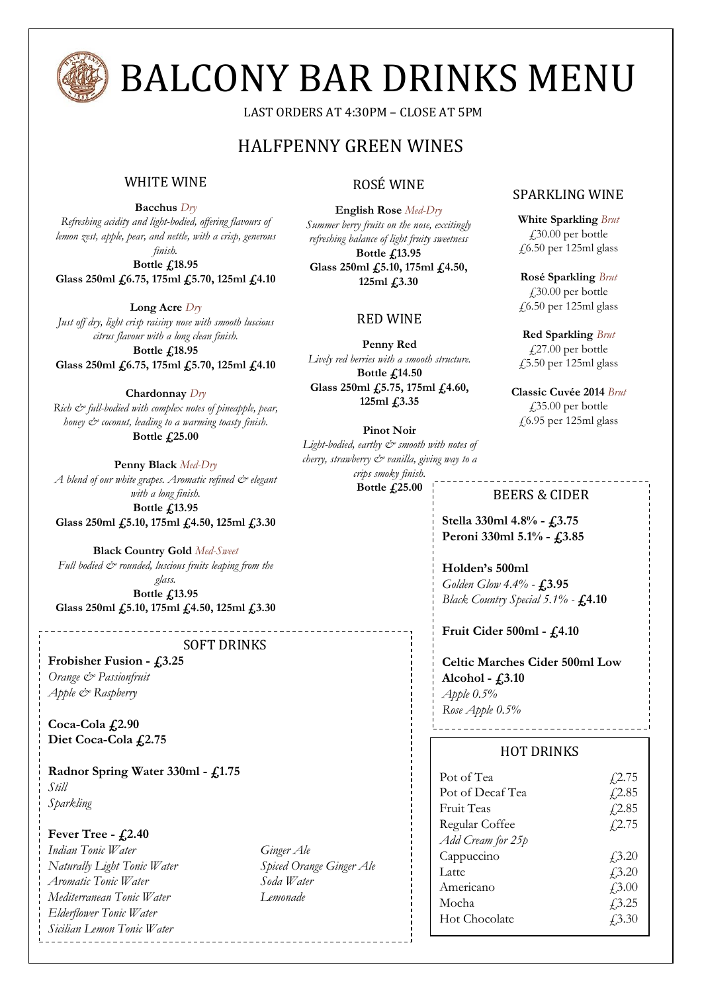

## BALCONY BAR DRINKS MENU

LAST ORDERS AT 4:30PM – CLOSE AT 5PM

### HALFPENNY GREEN WINES

#### WHITE WINE *\*

**Bacchus** *Dry*

*Refreshing acidity and light-bodied, offering flavours of lemon zest, apple, pear, and nettle, with a crisp, generous finish.*

**Bottle £18.95 Glass 250ml £6.75, 175ml £5.70, 125ml £4.10**

**Long Acre** *Dry Just off dry, light crisp raisiny nose with smooth luscious citrus flavour with a long clean finish.* **Bottle £18.95 Glass 250ml £6.75, 175ml £5.70, 125ml £4.10**

**Chardonnay** *Dry Rich & full-bodied with complex notes of pineapple, pear, honey & coconut, leading to a warming toasty finish.* **Bottle £25.00**

**Penny Black** *Med-Dry* A blend of our white grapes. Aromatic refined  $\mathcal{C}^*$  elegant *with a long finish.* **Bottle £13.95 Glass 250ml £5.10, 175ml £4.50, 125ml £3.30**

**Black Country Gold** *Med-Sweet* Full bodied  $\dot{\mathcal{C}}$  rounded, luscious fruits leaping from the *glass.*

**Bottle £13.95 Glass 250ml £5.10, 175ml £4.50, 125ml £3.30**

#### SOFT DRINKS

**Frobisher Fusion - £3.25** *Orange & Passionfruit Apple & Raspberry*

**Coca-Cola £2.90 Diet Coca-Cola £2.75**

**Radnor Spring Water 330ml - £1.75** *Still Sparkling*

#### **Fever Tree - £2.40**

*Indian Tonic Water Ginger Ale Naturally Light Tonic Water Spiced Orange Ginger Ale Aromatic Tonic Water Soda Water Mediterranean Tonic Water Lemonade Elderflower Tonic Water Sicilian Lemon Tonic Water*

#### ROSÉ WINE

**English Rose** *Med-Dry Summer berry fruits on the nose, excitingly refreshing balance of light fruity sweetness* **Bottle £13.95 Glass 250ml £5.10, 175ml £4.50, 125ml £3.30**

#### RED WINE

**Penny Red** *Lively red berries with a smooth structure.*  **Bottle £14.50**

**Glass 250ml £5.75, 175ml £4.60, 125ml £3.35**

**Pinot Noir** Light-bodied, earthy  $\mathcal O$  smooth with notes of *cherry, strawberry & vanilla, giving way to a crips smoky finish.*

**Bottle £25.00**

SPARKLING WINE

**White Sparkling** *Brut*  $\text{\textsterling}30.00$  per bottle £6.50 per 125ml glass

**Rosé Sparkling** *Brut* £30.00 per bottle  $£6.50$  per 125ml glass

**Red Sparkling** *Brut* £27.00 per bottle £5.50 per 125ml glass

**Classic Cuvée 2014** *Brut*  $\text{\emph{f}}35.00$  per bottle £6.95 per 125ml glass

#### BEERS & CIDER

**Stella 330ml 4.8% - £3.75 Peroni 330ml 5.1% - £3.85**

**Holden's 500ml** *Golden Glow 4.4% -* **£3.95** *Black Country Special 5.1% -* **£4.10**

#### **Fruit Cider 500ml - £4.10**

**Celtic Marches Cider 500ml Low Alcohol - £3.10** *Apple 0.5% Rose Apple 0.5%*

#### HOT DRINKS

| Pot of Tea<br>Pot of Decaf Tea<br><b>Fruit Teas</b><br>Regular Coffee | $\sqrt{2.75}$<br>f2.85<br>f2.85<br>f(2.75) |
|-----------------------------------------------------------------------|--------------------------------------------|
| Add Cream for 25p                                                     |                                            |
| Cappuccino                                                            | $\angle 3.20$                              |
| Latte.                                                                | $\sqrt{3.20}$                              |
| Americano                                                             | f3.00                                      |
| Mocha                                                                 | f3.25                                      |
| <b>Hot Chocolate</b>                                                  | 43.30                                      |